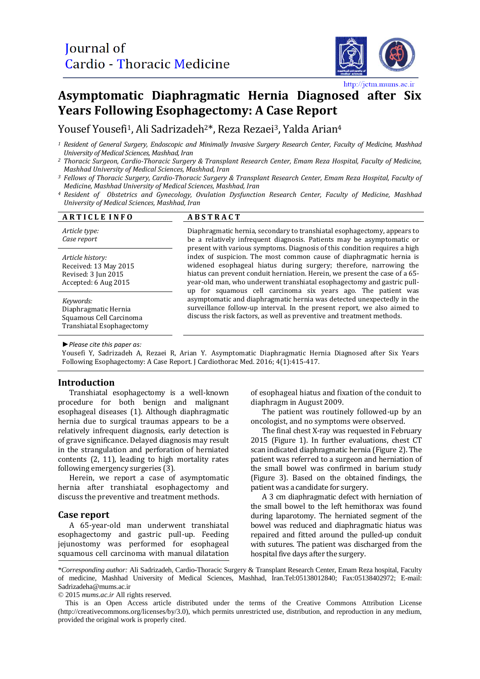

http://jctm.mums.ac.ir

# **Asymptomatic Diaphragmatic Hernia Diagnosed after Six Years Following Esophagectomy: A Case Report**

Yousef Yousefi<sup>1</sup>, Ali Sadrizadeh<sup>2\*</sup>, Reza Rezaei<sup>3</sup>, Yalda Arian<sup>4</sup>

- *<sup>1</sup> Resident of General Surgery, Endoscopic and Minimally Invasive Surgery Research Center, Faculty of Medicine, Mashhad University of Medical Sciences, Mashhad, Iran*
- *<sup>2</sup> Thoracic Surgeon, Cardio-Thoracic Surgery & Transplant Research Center, Emam Reza Hospital, Faculty of Medicine, Mashhad University of Medical Sciences, Mashhad, Iran*
- *<sup>3</sup> Fellows of Thoracic Surgery, Cardio-Thoracic Surgery & Transplant Research Center, Emam Reza Hospital, Faculty of Medicine, Mashhad University of Medical Sciences, Mashhad, Iran*
- *<sup>4</sup> Resident of Obstetrics and Gynecology, Ovulation Dysfunction Research Center, Faculty of Medicine, Mashhad University of Medical Sciences, Mashhad, Iran*

| <b>ARTICLE INFO</b>                                                                       | <b>ABSTRACT</b>                                                                                                                                                                                                                                                                                                                                                                                                                                                                                                                                                                                                                                                                                                                                                                                                                          |
|-------------------------------------------------------------------------------------------|------------------------------------------------------------------------------------------------------------------------------------------------------------------------------------------------------------------------------------------------------------------------------------------------------------------------------------------------------------------------------------------------------------------------------------------------------------------------------------------------------------------------------------------------------------------------------------------------------------------------------------------------------------------------------------------------------------------------------------------------------------------------------------------------------------------------------------------|
| Article type:<br>Case report                                                              | Diaphragmatic hernia, secondary to transhiatal esophagectomy, appears to<br>be a relatively infrequent diagnosis. Patients may be asymptomatic or<br>present with various symptoms. Diagnosis of this condition requires a high<br>index of suspicion. The most common cause of diaphragmatic hernia is<br>widened esophageal hiatus during surgery; therefore, narrowing the<br>hiatus can prevent conduit herniation. Herein, we present the case of a 65-<br>year-old man, who underwent transhiatal esophagectomy and gastric pull-<br>up for squamous cell carcinoma six years ago. The patient was<br>asymptomatic and diaphragmatic hernia was detected unexpectedly in the<br>surveillance follow-up interval. In the present report, we also aimed to<br>discuss the risk factors, as well as preventive and treatment methods. |
| Article history:<br>Received: 13 May 2015<br>Revised: 3 Jun 2015<br>Accepted: 6 Aug 2015  |                                                                                                                                                                                                                                                                                                                                                                                                                                                                                                                                                                                                                                                                                                                                                                                                                                          |
| Keywords:<br>Diaphragmatic Hernia<br>Squamous Cell Carcinoma<br>Transhiatal Esophagectomy |                                                                                                                                                                                                                                                                                                                                                                                                                                                                                                                                                                                                                                                                                                                                                                                                                                          |

*►Please cite this paper as:*

Yousefi Y, Sadrizadeh A, Rezaei R, Arian Y. Asymptomatic Diaphragmatic Hernia Diagnosed after Six Years Following Esophagectomy: A Case Report. J Cardiothorac Med. 2016; 4(1):415-417.

## **Introduction**

Transhiatal esophagectomy is a well-known procedure for both benign and malignant esophageal diseases (1). Although diaphragmatic hernia due to surgical traumas appears to be a relatively infrequent diagnosis, early detection is of grave significance. Delayed diagnosis may result in the strangulation and perforation of herniated contents (2, 11), leading to high mortality rates following emergency surgeries (3).

Herein, we report a case of asymptomatic hernia after transhiatal esophagectomy and discuss the preventive and treatment methods.

## **Case report**

A 65-year-old man underwent transhiatal esophagectomy and gastric pull-up. Feeding jejunostomy was performed for esophageal squamous cell carcinoma with manual dilatation of esophageal hiatus and fixation of the conduit to diaphragm in August 2009.

The patient was routinely followed-up by an oncologist, and no symptoms were observed.

The final chest X-ray was requested in February 2015 (Figure 1). In further evaluations, chest CT scan indicated diaphragmatic hernia (Figure 2). The patient was referred to a surgeon and herniation of the small bowel was confirmed in barium study (Figure 3). Based on the obtained findings, the patient was a candidate for surgery.

A 3 cm diaphragmatic defect with herniation of the small bowel to the left hemithorax was found during laparotomy. The herniated segment of the bowel was reduced and diaphragmatic hiatus was repaired and fitted around the pulled-up conduit with sutures. The patient was discharged from the hospital five days after the surgery.

© 2015 *mums.ac.ir* All rights reserved.

<sup>\*</sup>*Corresponding author:* Ali Sadrizadeh, Cardio-Thoracic Surgery & Transplant Research Center, Emam Reza hospital, Faculty of medicine, Mashhad University of Medical Sciences, Mashhad, Iran.Tel:05138012840; Fax:05138402972; E-mail: Sadrizadeha@mums.ac.ir

This is an Open Access article distributed under the terms of the Creative Commons Attribution License (http://creativecommons.org/licenses/by/3.0), which permits unrestricted use, distribution, and reproduction in any medium, provided the original work is properly cited.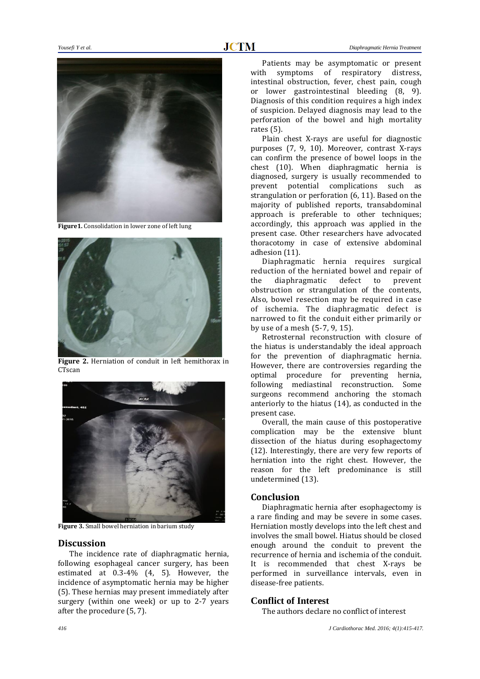

**Figure1.** Consolidation in lower zone of left lung



**Figure 2.** Herniation of conduit in left hemithorax in **CTscan** 



**Figure 3.** Small bowel herniation in barium study

## **Discussion**

The incidence rate of diaphragmatic hernia, following esophageal cancer surgery, has been estimated at 0.3-4% (4, 5). However, the incidence of asymptomatic hernia may be higher (5). These hernias may present immediately after surgery (within one week) or up to 2-7 years after the procedure (5, 7).

Patients may be asymptomatic or present with symptoms of respiratory distress, intestinal obstruction, fever, chest pain, cough or lower gastrointestinal bleeding (8, 9). Diagnosis of this condition requires a high index of suspicion. Delayed diagnosis may lead to the perforation of the bowel and high mortality rates (5).

Plain chest X-rays are useful for diagnostic purposes (7, 9, 10). Moreover, contrast X-rays can confirm the presence of bowel loops in the chest (10). When diaphragmatic hernia is diagnosed, surgery is usually recommended to prevent potential complications such as strangulation or perforation (6, 11). Based on the majority of published reports, transabdominal approach is preferable to other techniques; accordingly, this approach was applied in the present case. Other researchers have advocated thoracotomy in case of extensive abdominal adhesion (11).

Diaphragmatic hernia requires surgical reduction of the herniated bowel and repair of the diaphragmatic defect to prevent obstruction or strangulation of the contents, Also, bowel resection may be required in case of ischemia. The diaphragmatic defect is narrowed to fit the conduit either primarily or by use of a mesh (5-7, 9, 15).

Retrosternal reconstruction with closure of the hiatus is understandably the ideal approach for the prevention of diaphragmatic hernia. However, there are controversies regarding the optimal procedure for preventing hernia, following mediastinal reconstruction. Some surgeons recommend anchoring the stomach anteriorly to the hiatus (14), as conducted in the present case.

Overall, the main cause of this postoperative complication may be the extensive blunt dissection of the hiatus during esophagectomy (12). Interestingly, there are very few reports of herniation into the right chest. However, the reason for the left predominance is still undetermined (13).

# **Conclusion**

Diaphragmatic hernia after esophagectomy is a rare finding and may be severe in some cases. Herniation mostly develops into the left chest and involves the small bowel. Hiatus should be closed enough around the conduit to prevent the recurrence of hernia and ischemia of the conduit. It is recommended that chest X-rays be performed in surveillance intervals, even in disease-free patients.

## **Conflict of Interest**

The authors declare no conflict of interest